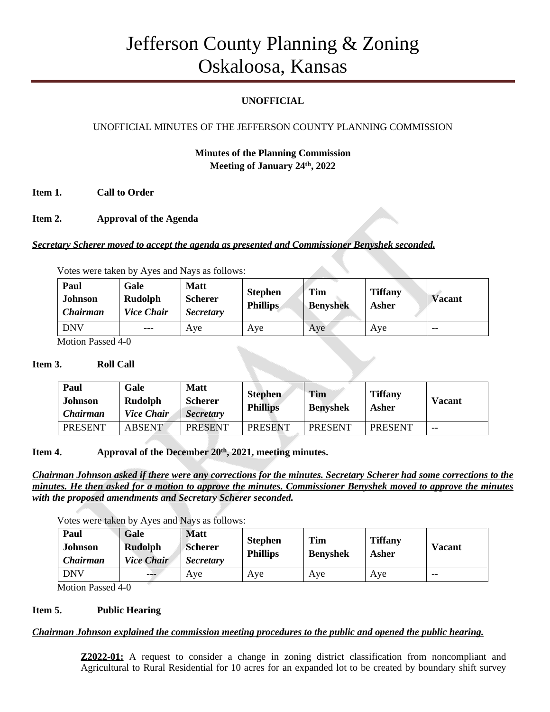# Jefferson County Planning & Zoning Oskaloosa, Kansas

# **UNOFFICIAL**

# UNOFFICIAL MINUTES OF THE JEFFERSON COUNTY PLANNING COMMISSION

# **Minutes of the Planning Commission Meeting of January 24 th, 2022**

**Item 1. Call to Order**

**Item 2. Approval of the Agenda**

*Secretary Scherer moved to accept the agenda as presented and Commissioner Benyshek seconded.*

Votes were taken by Ayes and Nays as follows:

| Paul<br>Johnson<br><b>Chairman</b> | Gale<br>Rudolph<br><b>Vice Chair</b> | <b>Matt</b><br><b>Scherer</b><br><b>Secretary</b> | <b>Stephen</b><br><b>Phillips</b> | <b>Tim</b><br><b>Benyshek</b> | <b>Tiffany</b><br>Asher | <b>Vacant</b> |
|------------------------------------|--------------------------------------|---------------------------------------------------|-----------------------------------|-------------------------------|-------------------------|---------------|
| <b>DNV</b>                         | $---$                                | Ave                                               | Ave                               | Ave                           | Aye                     | $- -$         |

Motion Passed 4-0

#### **Item 3. Roll Call**

| Paul<br><b>Johnson</b><br><i>Chairman</i> | Gale<br>Rudolph<br><i>Vice Chair</i> | <b>Matt</b><br><b>Scherer</b><br><b>Secretary</b> | <b>Stephen</b><br><b>Phillips</b> | Tim<br><b>Benyshek</b> | <b>Tiffany</b><br>Asher | <b>Vacant</b> |
|-------------------------------------------|--------------------------------------|---------------------------------------------------|-----------------------------------|------------------------|-------------------------|---------------|
| <b>PRESENT</b>                            | <b>ABSENT</b>                        | <b>PRESENT</b>                                    | <b>PRESENT</b>                    | <b>PRESENT</b>         | <b>PRESENT</b>          | $- -$         |

## **Item 4. Approval of the December 20 th , 2021, meeting minutes.**

*Chairman Johnson asked if there were any corrections for the minutes. Secretary Scherer had some corrections to the minutes. He then asked for a motion to approve the minutes. Commissioner Benyshek moved to approve the minutes with the proposed amendments and Secretary Scherer seconded.*

Votes were taken by Ayes and Nays as follows:

| Paul<br><b>Johnson</b><br><b>Chairman</b> | Gale<br><b>Rudolph</b><br><b>Vice Chair</b> | <b>Matt</b><br><b>Scherer</b><br><b>Secretary</b> | <b>Stephen</b><br><b>Phillips</b> | <b>Tim</b><br><b>Benyshek</b> | <b>Tiffany</b><br>Asher | <b>Vacant</b> |
|-------------------------------------------|---------------------------------------------|---------------------------------------------------|-----------------------------------|-------------------------------|-------------------------|---------------|
| <b>DNV</b>                                | ---                                         | Ave                                               | Ave                               | Ave                           | Ave                     | $- -$         |

Motion Passed 4-0

#### **Item 5. Public Hearing**

#### *Chairman Johnson explained the commission meeting procedures to the public and opened the public hearing.*

**Z2022-01:** A request to consider a change in zoning district classification from noncompliant and Agricultural to Rural Residential for 10 acres for an expanded lot to be created by boundary shift survey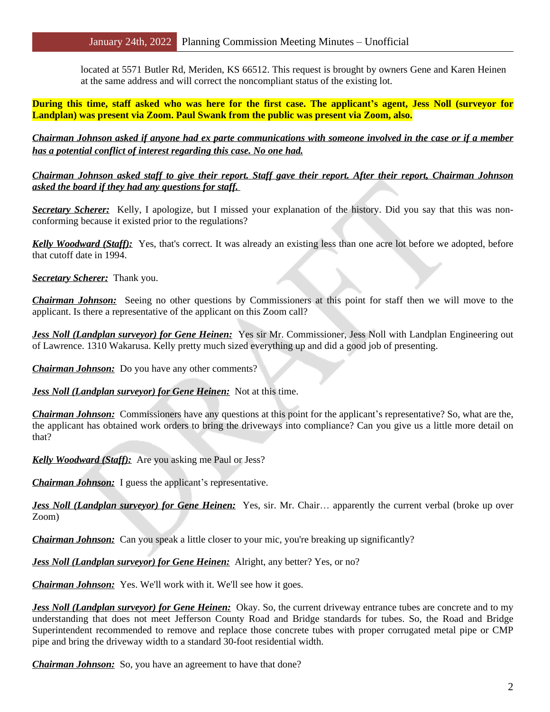located at 5571 Butler Rd, Meriden, KS 66512. This request is brought by owners Gene and Karen Heinen at the same address and will correct the noncompliant status of the existing lot.

During this time, staff asked who was here for the first case. The applicant's agent, Jess Noll (surveyor for **Landplan) was present via Zoom. Paul Swank from the public was present via Zoom, also.**

*Chairman Johnson asked if anyone had ex parte communications with someone involved in the case or if a member has a potential conflict of interest regarding this case. No one had.*

## *Chairman Johnson asked staff to give their report. Staff gave their report. After their report, Chairman Johnson asked the board if they had any questions for staff.*

*Secretary Scherer:* Kelly, I apologize, but I missed your explanation of the history. Did you say that this was nonconforming because it existed prior to the regulations?

*Kelly Woodward (Staff):* Yes, that's correct. It was already an existing less than one acre lot before we adopted, before that cutoff date in 1994.

*Secretary Scherer:* Thank you.

*Chairman Johnson:* Seeing no other questions by Commissioners at this point for staff then we will move to the applicant. Is there a representative of the applicant on this Zoom call?

*Jess Noll (Landplan surveyor) for Gene Heinen:* Yes sir Mr. Commissioner, Jess Noll with Landplan Engineering out of Lawrence. 1310 Wakarusa. Kelly pretty much sized everything up and did a good job of presenting.

*Chairman Johnson:* Do you have any other comments?

*Jess Noll (Landplan surveyor) for Gene Heinen:* Not at this time.

*Chairman Johnson:* Commissioners have any questions at this point for the applicant's representative? So, what are the, the applicant has obtained work orders to bring the driveways into compliance? Can you give us a little more detail on that?

*Kelly Woodward (Staff):* Are you asking me Paul or Jess?

*Chairman Johnson:* I guess the applicant's representative.

*Jess Noll (Landplan surveyor) for Gene Heinen:* Yes, sir. Mr. Chair… apparently the current verbal (broke up over Zoom)

*Chairman Johnson:* Can you speak a little closer to your mic, you're breaking up significantly?

*Jess Noll (Landplan surveyor) for Gene Heinen:* Alright, any better? Yes, or no?

*Chairman Johnson:* Yes. We'll work with it. We'll see how it goes.

*Jess Noll (Landplan surveyor) for Gene Heinen:* Okay. So, the current driveway entrance tubes are concrete and to my understanding that does not meet Jefferson County Road and Bridge standards for tubes. So, the Road and Bridge Superintendent recommended to remove and replace those concrete tubes with proper corrugated metal pipe or CMP pipe and bring the driveway width to a standard 30-foot residential width.

*Chairman Johnson:* So, you have an agreement to have that done?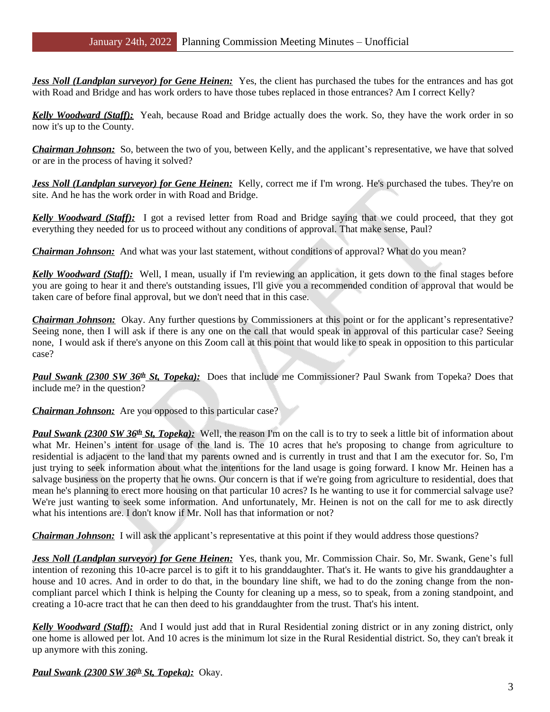*Jess Noll (Landplan surveyor) for Gene Heinen:* Yes, the client has purchased the tubes for the entrances and has got with Road and Bridge and has work orders to have those tubes replaced in those entrances? Am I correct Kelly?

*Kelly Woodward (Staff):* Yeah, because Road and Bridge actually does the work. So, they have the work order in so now it's up to the County.

*Chairman Johnson:* So, between the two of you, between Kelly, and the applicant's representative, we have that solved or are in the process of having it solved?

*Jess Noll (Landplan surveyor) for Gene Heinen:* Kelly, correct me if I'm wrong. He's purchased the tubes. They're on site. And he has the work order in with Road and Bridge.

*Kelly Woodward (Staff):* I got a revised letter from Road and Bridge saying that we could proceed, that they got everything they needed for us to proceed without any conditions of approval. That make sense, Paul?

*Chairman Johnson:* And what was your last statement, without conditions of approval? What do you mean?

*Kelly Woodward (Staff):* Well, I mean, usually if I'm reviewing an application, it gets down to the final stages before you are going to hear it and there's outstanding issues, I'll give you a recommended condition of approval that would be taken care of before final approval, but we don't need that in this case.

*Chairman Johnson:* Okay. Any further questions by Commissioners at this point or for the applicant's representative? Seeing none, then I will ask if there is any one on the call that would speak in approval of this particular case? Seeing none, I would ask if there's anyone on this Zoom call at this point that would like to speak in opposition to this particular case?

**Paul Swank (2300 SW 36<sup>th</sup> St, Topeka):** Does that include me Commissioner? Paul Swank from Topeka? Does that include me? in the question?

## *Chairman Johnson:* Are you opposed to this particular case?

**Paul Swank (2300 SW 36<sup>th</sup> St, Topeka):** Well, the reason I'm on the call is to try to seek a little bit of information about what Mr. Heinen's intent for usage of the land is. The 10 acres that he's proposing to change from agriculture to residential is adjacent to the land that my parents owned and is currently in trust and that I am the executor for. So, I'm just trying to seek information about what the intentions for the land usage is going forward. I know Mr. Heinen has a salvage business on the property that he owns. Our concern is that if we're going from agriculture to residential, does that mean he's planning to erect more housing on that particular 10 acres? Is he wanting to use it for commercial salvage use? We're just wanting to seek some information. And unfortunately, Mr. Heinen is not on the call for me to ask directly what his intentions are. I don't know if Mr. Noll has that information or not?

*Chairman Johnson:* I will ask the applicant's representative at this point if they would address those questions?

*Jess Noll (Landplan surveyor) for Gene Heinen:* Yes, thank you, Mr. Commission Chair. So, Mr. Swank, Gene's full intention of rezoning this 10-acre parcel is to gift it to his granddaughter. That's it. He wants to give his granddaughter a house and 10 acres. And in order to do that, in the boundary line shift, we had to do the zoning change from the noncompliant parcel which I think is helping the County for cleaning up a mess, so to speak, from a zoning standpoint, and creating a 10-acre tract that he can then deed to his granddaughter from the trust. That's his intent.

*Kelly Woodward (Staff):* And I would just add that in Rural Residential zoning district or in any zoning district, only one home is allowed per lot. And 10 acres is the minimum lot size in the Rural Residential district. So, they can't break it up anymore with this zoning.

*Paul Swank (2300 SW 36th St, Topeka):* Okay.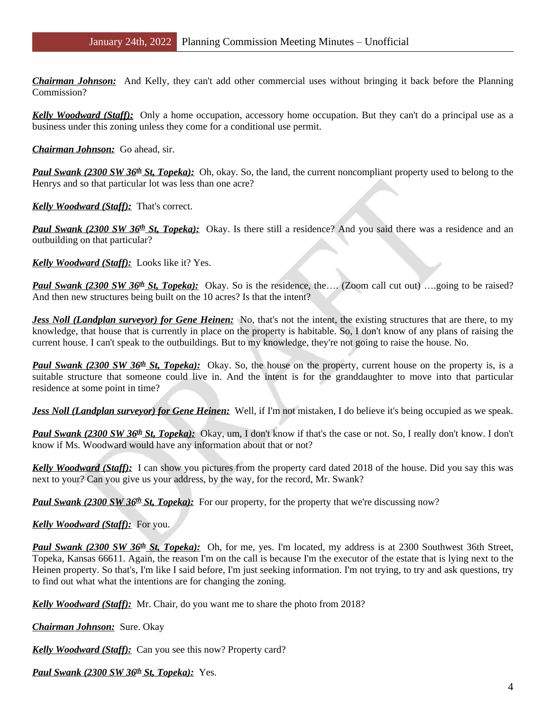*Chairman Johnson:* And Kelly, they can't add other commercial uses without bringing it back before the Planning Commission?

*Kelly Woodward (Staff):* Only a home occupation, accessory home occupation. But they can't do a principal use as a business under this zoning unless they come for a conditional use permit.

*Chairman Johnson:* Go ahead, sir.

Paul Swank (2300 SW 36<sup>th</sup> St, Topeka): Oh, okay. So, the land, the current noncompliant property used to belong to the Henrys and so that particular lot was less than one acre?

*Kelly Woodward (Staff):* That's correct.

**Paul Swank (2300 SW 36<sup>th</sup> St, Topeka):** Okay. Is there still a residence? And you said there was a residence and an outbuilding on that particular?

*Kelly Woodward (Staff):* Looks like it? Yes.

**Paul Swank (2300 SW 36<sup>th</sup> St, Topeka):** Okay. So is the residence, the…. (Zoom call cut out) ….going to be raised? And then new structures being built on the 10 acres? Is that the intent?

*Jess Noll (Landplan surveyor) for Gene Heinen:* No, that's not the intent, the existing structures that are there, to my knowledge, that house that is currently in place on the property is habitable. So, I don't know of any plans of raising the current house. I can't speak to the outbuildings. But to my knowledge, they're not going to raise the house. No.

**Paul Swank (2300 SW 36<sup>th</sup> St, Topeka):** Okay. So, the house on the property, current house on the property is, is a suitable structure that someone could live in. And the intent is for the granddaughter to move into that particular residence at some point in time?

*Jess Noll (Landplan surveyor) for Gene Heinen:* Well, if I'm not mistaken, I do believe it's being occupied as we speak.

Paul Swank (2300 SW 36<sup>th</sup> St, Topeka): Okay, um, I don't know if that's the case or not. So, I really don't know. I don't know if Ms. Woodward would have any information about that or not?

*Kelly Woodward (Staff):* I can show you pictures from the property card dated 2018 of the house. Did you say this was next to your? Can you give us your address, by the way, for the record, Mr. Swank?

**Paul Swank (2300 SW 36<sup>th</sup> St, Topeka):** For our property, for the property that we're discussing now?

*Kelly Woodward (Staff):* For you.

**Paul Swank (2300 SW 36<sup>th</sup> St, Topeka):** Oh, for me, yes. I'm located, my address is at 2300 Southwest 36th Street, Topeka, Kansas 66611. Again, the reason I'm on the call is because I'm the executor of the estate that is lying next to the Heinen property. So that's, I'm like I said before, I'm just seeking information. I'm not trying, to try and ask questions, try to find out what what the intentions are for changing the zoning.

*Kelly Woodward (Staff):* Mr. Chair, do you want me to share the photo from 2018?

*Chairman Johnson:* Sure. Okay

*Kelly Woodward (Staff):* Can you see this now? Property card?

*Paul Swank (2300 SW 36th St, Topeka):* Yes.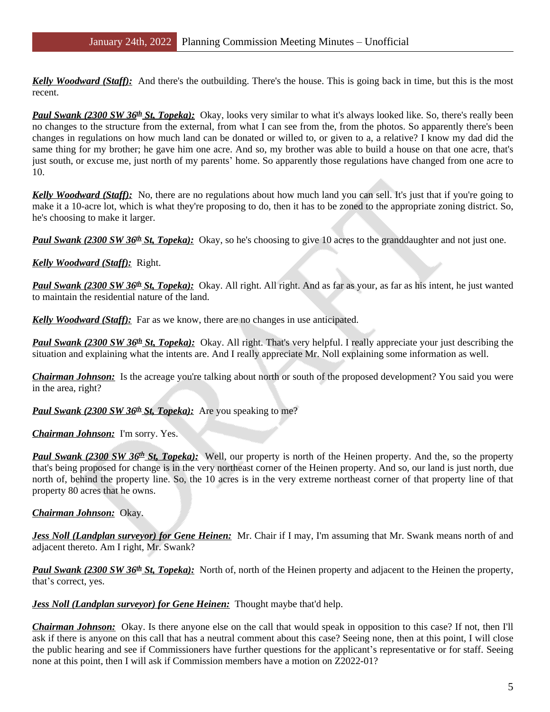*Kelly Woodward (Staff):* And there's the outbuilding. There's the house. This is going back in time, but this is the most recent.

Paul Swank (2300 SW 36<sup>th</sup> St, Topeka): Okay, looks very similar to what it's always looked like. So, there's really been no changes to the structure from the external, from what I can see from the, from the photos. So apparently there's been changes in regulations on how much land can be donated or willed to, or given to a, a relative? I know my dad did the same thing for my brother; he gave him one acre. And so, my brother was able to build a house on that one acre, that's just south, or excuse me, just north of my parents' home. So apparently those regulations have changed from one acre to 10.

*Kelly Woodward (Staff)*: No, there are no regulations about how much land you can sell. It's just that if you're going to make it a 10-acre lot, which is what they're proposing to do, then it has to be zoned to the appropriate zoning district. So, he's choosing to make it larger.

*Paul Swank (2300 SW 36<sup>th</sup> St, Topeka):* Okay, so he's choosing to give 10 acres to the granddaughter and not just one.

## *Kelly Woodward (Staff):* Right.

*Paul Swank (2300 SW 36th St, Topeka):* Okay. All right. All right. And as far as your, as far as his intent, he just wanted to maintain the residential nature of the land.

*Kelly Woodward (Staff):* Far as we know, there are no changes in use anticipated.

**Paul Swank (2300 SW 36<sup>th</sup> St, Topeka):** Okay. All right. That's very helpful. I really appreciate your just describing the situation and explaining what the intents are. And I really appreciate Mr. Noll explaining some information as well.

*Chairman Johnson:* Is the acreage you're talking about north or south of the proposed development? You said you were in the area, right?

## *Paul Swank (2300 SW 36<sup>th</sup> St, Topeka):* Are you speaking to me?

#### *Chairman Johnson:* I'm sorry. Yes.

**Paul Swank (2300 SW 36<sup>th</sup> St, Topeka):** Well, our property is north of the Heinen property. And the, so the property that's being proposed for change is in the very northeast corner of the Heinen property. And so, our land is just north, due north of, behind the property line. So, the 10 acres is in the very extreme northeast corner of that property line of that property 80 acres that he owns.

#### *Chairman Johnson:* Okay.

*Jess Noll (Landplan surveyor) for Gene Heinen:* Mr. Chair if I may, I'm assuming that Mr. Swank means north of and adjacent thereto. Am I right, Mr. Swank?

Paul Swank (2300 SW 36<sup>th</sup> St, Topeka): North of, north of the Heinen property and adjacent to the Heinen the property, that's correct, yes.

*Jess Noll (Landplan surveyor) for Gene Heinen:* Thought maybe that'd help.

*Chairman Johnson:* Okay. Is there anyone else on the call that would speak in opposition to this case? If not, then I'll ask if there is anyone on this call that has a neutral comment about this case? Seeing none, then at this point, I will close the public hearing and see if Commissioners have further questions for the applicant's representative or for staff. Seeing none at this point, then I will ask if Commission members have a motion on Z2022-01?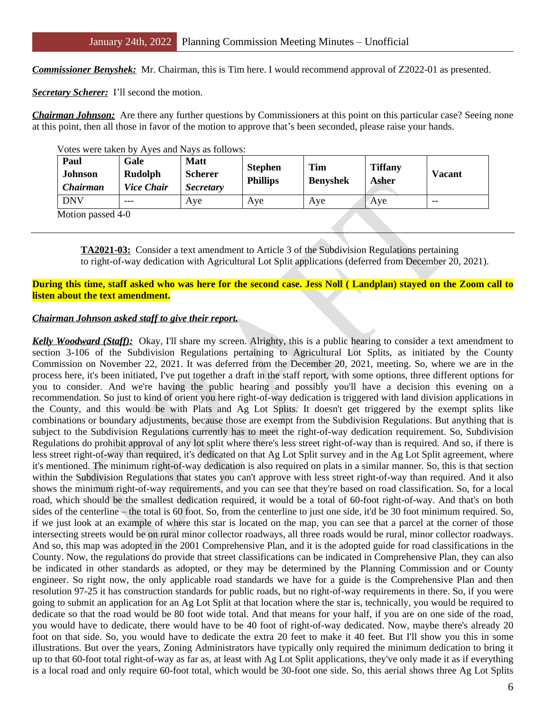*Commissioner Benyshek:* Mr. Chairman, this is Tim here. I would recommend approval of Z2022-01 as presented.

*Secretary Scherer:* I'll second the motion.

*Chairman Johnson:* Are there any further questions by Commissioners at this point on this particular case? Seeing none at this point, then all those in favor of the motion to approve that's been seconded, please raise your hands.

| Votes were taken by Ayes and Nays as follows:<br>Paul<br><b>Johnson</b><br><i>Chairman</i> | Gale<br><b>Rudolph</b><br><b>Vice Chair</b> | <b>Matt</b><br><b>Scherer</b><br><i>Secretary</i> | <b>Stephen</b><br><b>Phillips</b> | Tim<br><b>Benyshek</b> | <b>Tiffany</b><br>Asher | Vacant |
|--------------------------------------------------------------------------------------------|---------------------------------------------|---------------------------------------------------|-----------------------------------|------------------------|-------------------------|--------|
| <b>DNV</b>                                                                                 | $---$                                       | Ave                                               | Ave                               | Ave                    | Ave                     | $- -$  |

Votes were taken by Ayes and Nays as follows:

Motion passed 4-0

**TA2021-03:** Consider a text amendment to Article 3 of the Subdivision Regulations pertaining to right-of-way dedication with Agricultural Lot Split applications (deferred from December 20, 2021).

#### During this time, staff asked who was here for the second case. Jess Noll (Landplan) stayed on the Zoom call to **listen about the text amendment.**

#### *Chairman Johnson asked staff to give their report.*

*Kelly Woodward (Staff):* Okay, I'll share my screen. Alrighty, this is a public hearing to consider a text amendment to section 3-106 of the Subdivision Regulations pertaining to Agricultural Lot Splits, as initiated by the County Commission on November 22, 2021. It was deferred from the December 20, 2021, meeting. So, where we are in the process here, it's been initiated, I've put together a draft in the staff report, with some options, three different options for you to consider. And we're having the public hearing and possibly you'll have a decision this evening on a recommendation. So just to kind of orient you here right-of-way dedication is triggered with land division applications in the County, and this would be with Plats and Ag Lot Splits. It doesn't get triggered by the exempt splits like combinations or boundary adjustments, because those are exempt from the Subdivision Regulations. But anything that is subject to the Subdivision Regulations currently has to meet the right-of-way dedication requirement. So, Subdivision Regulations do prohibit approval of any lot split where there's less street right-of-way than is required. And so, if there is less street right-of-way than required, it's dedicated on that Ag Lot Split survey and in the Ag Lot Split agreement, where it's mentioned. The minimum right-of-way dedication is also required on plats in a similar manner. So, this is that section within the Subdivision Regulations that states you can't approve with less street right-of-way than required. And it also shows the minimum right-of-way requirements, and you can see that they're based on road classification. So, for a local road, which should be the smallest dedication required, it would be a total of 60-foot right-of-way. And that's on both sides of the centerline – the total is 60 foot. So, from the centerline to just one side, it'd be 30 foot minimum required. So, if we just look at an example of where this star is located on the map, you can see that a parcel at the corner of those intersecting streets would be on rural minor collector roadways, all three roads would be rural, minor collector roadways. And so, this map was adopted in the 2001 Comprehensive Plan, and it is the adopted guide for road classifications in the County. Now, the regulations do provide that street classifications can be indicated in Comprehensive Plan, they can also be indicated in other standards as adopted, or they may be determined by the Planning Commission and or County engineer. So right now, the only applicable road standards we have for a guide is the Comprehensive Plan and then resolution 97-25 it has construction standards for public roads, but no right-of-way requirements in there. So, if you were going to submit an application for an Ag Lot Split at that location where the star is, technically, you would be required to dedicate so that the road would be 80 foot wide total. And that means for your half, if you are on one side of the road, you would have to dedicate, there would have to be 40 foot of right-of-way dedicated. Now, maybe there's already 20 foot on that side. So, you would have to dedicate the extra 20 feet to make it 40 feet. But I'll show you this in some illustrations. But over the years, Zoning Administrators have typically only required the minimum dedication to bring it up to that 60-foot total right-of-way as far as, at least with Ag Lot Split applications, they've only made it as if everything is a local road and only require 60-foot total, which would be 30-foot one side. So, this aerial shows three Ag Lot Splits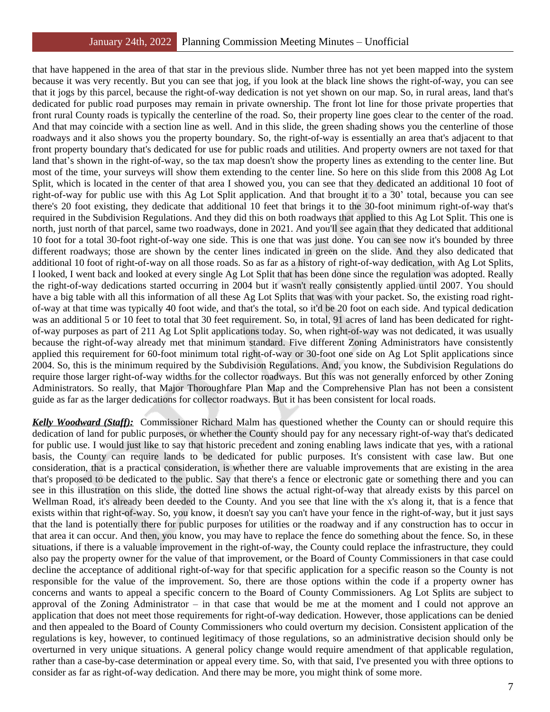that have happened in the area of that star in the previous slide. Number three has not yet been mapped into the system because it was very recently. But you can see that jog, if you look at the black line shows the right-of-way, you can see that it jogs by this parcel, because the right-of-way dedication is not yet shown on our map. So, in rural areas, land that's dedicated for public road purposes may remain in private ownership. The front lot line for those private properties that front rural County roads is typically the centerline of the road. So, their property line goes clear to the center of the road. And that may coincide with a section line as well. And in this slide, the green shading shows you the centerline of those roadways and it also shows you the property boundary. So, the right-of-way is essentially an area that's adjacent to that front property boundary that's dedicated for use for public roads and utilities. And property owners are not taxed for that land that's shown in the right-of-way, so the tax map doesn't show the property lines as extending to the center line. But most of the time, your surveys will show them extending to the center line. So here on this slide from this 2008 Ag Lot Split, which is located in the center of that area I showed you, you can see that they dedicated an additional 10 foot of right-of-way for public use with this Ag Lot Split application. And that brought it to a 30' total, because you can see there's 20 foot existing, they dedicate that additional 10 feet that brings it to the 30-foot minimum right-of-way that's required in the Subdivision Regulations. And they did this on both roadways that applied to this Ag Lot Split. This one is north, just north of that parcel, same two roadways, done in 2021. And you'll see again that they dedicated that additional 10 foot for a total 30-foot right-of-way one side. This is one that was just done. You can see now it's bounded by three different roadways; those are shown by the center lines indicated in green on the slide. And they also dedicated that additional 10 foot of right-of-way on all those roads. So as far as a history of right-of-way dedication, with Ag Lot Splits, I looked, I went back and looked at every single Ag Lot Split that has been done since the regulation was adopted. Really the right-of-way dedications started occurring in 2004 but it wasn't really consistently applied until 2007. You should have a big table with all this information of all these Ag Lot Splits that was with your packet. So, the existing road rightof-way at that time was typically 40 foot wide, and that's the total, so it'd be 20 foot on each side. And typical dedication was an additional 5 or 10 feet to total that 30 feet requirement. So, in total, 91 acres of land has been dedicated for rightof-way purposes as part of 211 Ag Lot Split applications today. So, when right-of-way was not dedicated, it was usually because the right-of-way already met that minimum standard. Five different Zoning Administrators have consistently applied this requirement for 60-foot minimum total right-of-way or 30-foot one side on Ag Lot Split applications since 2004. So, this is the minimum required by the Subdivision Regulations. And, you know, the Subdivision Regulations do require those larger right-of-way widths for the collector roadways. But this was not generally enforced by other Zoning Administrators. So really, that Major Thoroughfare Plan Map and the Comprehensive Plan has not been a consistent guide as far as the larger dedications for collector roadways. But it has been consistent for local roads.

*Kelly Woodward (Staff):* Commissioner Richard Malm has questioned whether the County can or should require this dedication of land for public purposes, or whether the County should pay for any necessary right-of-way that's dedicated for public use. I would just like to say that historic precedent and zoning enabling laws indicate that yes, with a rational basis, the County can require lands to be dedicated for public purposes. It's consistent with case law. But one consideration, that is a practical consideration, is whether there are valuable improvements that are existing in the area that's proposed to be dedicated to the public. Say that there's a fence or electronic gate or something there and you can see in this illustration on this slide, the dotted line shows the actual right-of-way that already exists by this parcel on Wellman Road, it's already been deeded to the County. And you see that line with the x's along it, that is a fence that exists within that right-of-way. So, you know, it doesn't say you can't have your fence in the right-of-way, but it just says that the land is potentially there for public purposes for utilities or the roadway and if any construction has to occur in that area it can occur. And then, you know, you may have to replace the fence do something about the fence. So, in these situations, if there is a valuable improvement in the right-of-way, the County could replace the infrastructure, they could also pay the property owner for the value of that improvement, or the Board of County Commissioners in that case could decline the acceptance of additional right-of-way for that specific application for a specific reason so the County is not responsible for the value of the improvement. So, there are those options within the code if a property owner has concerns and wants to appeal a specific concern to the Board of County Commissioners. Ag Lot Splits are subject to approval of the Zoning Administrator – in that case that would be me at the moment and I could not approve an application that does not meet those requirements for right-of-way dedication. However, those applications can be denied and then appealed to the Board of County Commissioners who could overturn my decision. Consistent application of the regulations is key, however, to continued legitimacy of those regulations, so an administrative decision should only be overturned in very unique situations. A general policy change would require amendment of that applicable regulation, rather than a case-by-case determination or appeal every time. So, with that said, I've presented you with three options to consider as far as right-of-way dedication. And there may be more, you might think of some more.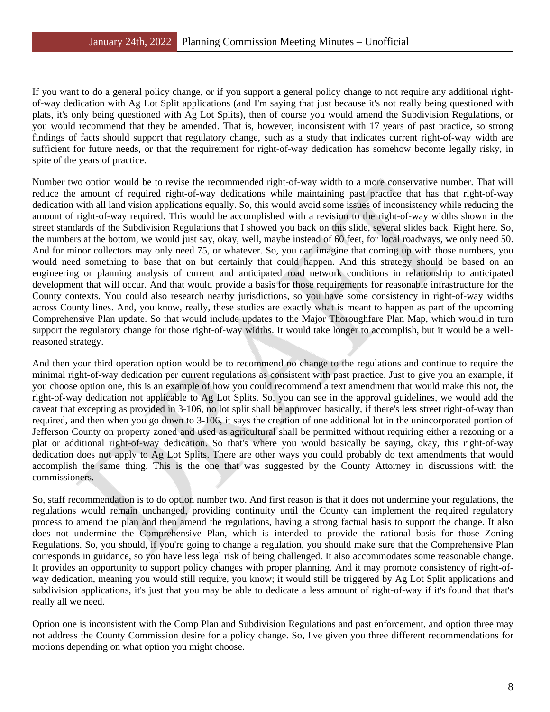If you want to do a general policy change, or if you support a general policy change to not require any additional rightof-way dedication with Ag Lot Split applications (and I'm saying that just because it's not really being questioned with plats, it's only being questioned with Ag Lot Splits), then of course you would amend the Subdivision Regulations, or you would recommend that they be amended. That is, however, inconsistent with 17 years of past practice, so strong findings of facts should support that regulatory change, such as a study that indicates current right-of-way width are sufficient for future needs, or that the requirement for right-of-way dedication has somehow become legally risky, in spite of the years of practice.

Number two option would be to revise the recommended right-of-way width to a more conservative number. That will reduce the amount of required right-of-way dedications while maintaining past practice that has that right-of-way dedication with all land vision applications equally. So, this would avoid some issues of inconsistency while reducing the amount of right-of-way required. This would be accomplished with a revision to the right-of-way widths shown in the street standards of the Subdivision Regulations that I showed you back on this slide, several slides back. Right here. So, the numbers at the bottom, we would just say, okay, well, maybe instead of 60 feet, for local roadways, we only need 50. And for minor collectors may only need 75, or whatever. So, you can imagine that coming up with those numbers, you would need something to base that on but certainly that could happen. And this strategy should be based on an engineering or planning analysis of current and anticipated road network conditions in relationship to anticipated development that will occur. And that would provide a basis for those requirements for reasonable infrastructure for the County contexts. You could also research nearby jurisdictions, so you have some consistency in right-of-way widths across County lines. And, you know, really, these studies are exactly what is meant to happen as part of the upcoming Comprehensive Plan update. So that would include updates to the Major Thoroughfare Plan Map, which would in turn support the regulatory change for those right-of-way widths. It would take longer to accomplish, but it would be a wellreasoned strategy.

And then your third operation option would be to recommend no change to the regulations and continue to require the minimal right-of-way dedication per current regulations as consistent with past practice. Just to give you an example, if you choose option one, this is an example of how you could recommend a text amendment that would make this not, the right-of-way dedication not applicable to Ag Lot Splits. So, you can see in the approval guidelines, we would add the caveat that excepting as provided in 3-106, no lot split shall be approved basically, if there's less street right-of-way than required, and then when you go down to 3-106, it says the creation of one additional lot in the unincorporated portion of Jefferson County on property zoned and used as agricultural shall be permitted without requiring either a rezoning or a plat or additional right-of-way dedication. So that's where you would basically be saying, okay, this right-of-way dedication does not apply to Ag Lot Splits. There are other ways you could probably do text amendments that would accomplish the same thing. This is the one that was suggested by the County Attorney in discussions with the commissioners.

So, staff recommendation is to do option number two. And first reason is that it does not undermine your regulations, the regulations would remain unchanged, providing continuity until the County can implement the required regulatory process to amend the plan and then amend the regulations, having a strong factual basis to support the change. It also does not undermine the Comprehensive Plan, which is intended to provide the rational basis for those Zoning Regulations. So, you should, if you're going to change a regulation, you should make sure that the Comprehensive Plan corresponds in guidance, so you have less legal risk of being challenged. It also accommodates some reasonable change. It provides an opportunity to support policy changes with proper planning. And it may promote consistency of right-ofway dedication, meaning you would still require, you know; it would still be triggered by Ag Lot Split applications and subdivision applications, it's just that you may be able to dedicate a less amount of right-of-way if it's found that that's really all we need.

Option one is inconsistent with the Comp Plan and Subdivision Regulations and past enforcement, and option three may not address the County Commission desire for a policy change. So, I've given you three different recommendations for motions depending on what option you might choose.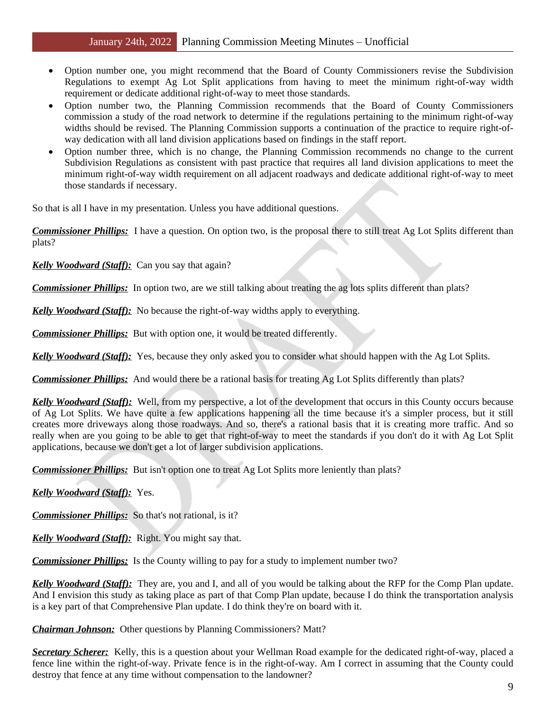- Option number one, you might recommend that the Board of County Commissioners revise the Subdivision Regulations to exempt Ag Lot Split applications from having to meet the minimum right-of-way width requirement or dedicate additional right-of-way to meet those standards.
- Option number two, the Planning Commission recommends that the Board of County Commissioners commission a study of the road network to determine if the regulations pertaining to the minimum right-of-way widths should be revised. The Planning Commission supports a continuation of the practice to require right-ofway dedication with all land division applications based on findings in the staff report.
- Option number three, which is no change, the Planning Commission recommends no change to the current Subdivision Regulations as consistent with past practice that requires all land division applications to meet the minimum right-of-way width requirement on all adjacent roadways and dedicate additional right-of-way to meet those standards if necessary.

So that is all I have in my presentation. Unless you have additional questions.

*Commissioner Phillips:* I have a question. On option two, is the proposal there to still treat Ag Lot Splits different than plats?

*Kelly Woodward (Staff):* Can you say that again?

*Commissioner Phillips:* In option two, are we still talking about treating the ag lots splits different than plats?

*Kelly Woodward (Staff):* No because the right-of-way widths apply to everything.

*Commissioner Phillips:* But with option one, it would be treated differently.

*Kelly Woodward (Staff):* Yes, because they only asked you to consider what should happen with the Ag Lot Splits.

*Commissioner Phillips:* And would there be a rational basis for treating Ag Lot Splits differently than plats?

*Kelly Woodward (Staff):* Well, from my perspective, a lot of the development that occurs in this County occurs because of Ag Lot Splits. We have quite a few applications happening all the time because it's a simpler process, but it still creates more driveways along those roadways. And so, there's a rational basis that it is creating more traffic. And so really when are you going to be able to get that right-of-way to meet the standards if you don't do it with Ag Lot Split applications, because we don't get a lot of larger subdivision applications.

*Commissioner Phillips:* But isn't option one to treat Ag Lot Splits more leniently than plats?

*Kelly Woodward (Staff):* Yes.

*Commissioner Phillips:* So that's not rational, is it?

*Kelly Woodward (Staff):* Right. You might say that.

*Commissioner Phillips:* Is the County willing to pay for a study to implement number two?

*Kelly Woodward (Staff):* They are, you and I, and all of you would be talking about the RFP for the Comp Plan update. And I envision this study as taking place as part of that Comp Plan update, because I do think the transportation analysis is a key part of that Comprehensive Plan update. I do think they're on board with it.

*Chairman Johnson:* Other questions by Planning Commissioners? Matt?

*Secretary Scherer:* Kelly, this is a question about your Wellman Road example for the dedicated right-of-way, placed a fence line within the right-of-way. Private fence is in the right-of-way. Am I correct in assuming that the County could destroy that fence at any time without compensation to the landowner?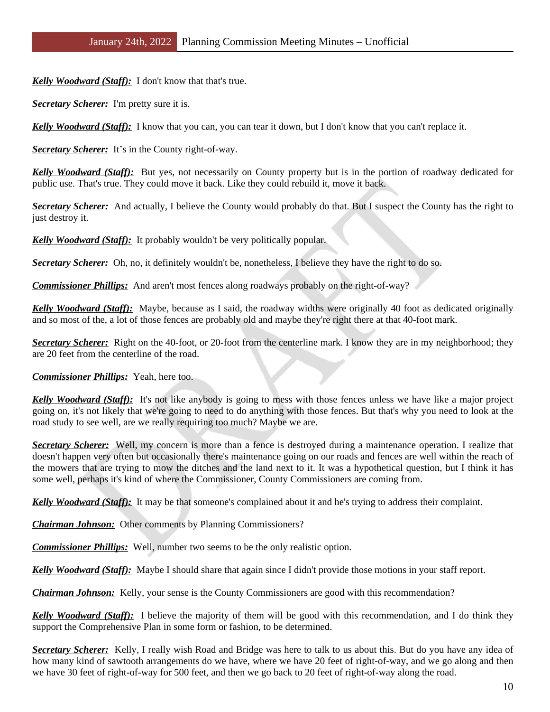*Kelly Woodward (Staff):* I don't know that that's true.

**Secretary Scherer:** I'm pretty sure it is.

*Kelly Woodward (Staff):* I know that you can, you can tear it down, but I don't know that you can't replace it.

*Secretary Scherer:* It's in the County right-of-way.

*Kelly Woodward (Staff):* But yes, not necessarily on County property but is in the portion of roadway dedicated for public use. That's true. They could move it back. Like they could rebuild it, move it back.

**Secretary Scherer:** And actually, I believe the County would probably do that. But I suspect the County has the right to just destroy it.

*Kelly Woodward (Staff):* It probably wouldn't be very politically popular.

*Secretary Scherer:* Oh, no, it definitely wouldn't be, nonetheless, I believe they have the right to do so.

**Commissioner Phillips:** And aren't most fences along roadways probably on the right-of-way?

*Kelly Woodward (Staff):* Maybe, because as I said, the roadway widths were originally 40 foot as dedicated originally and so most of the, a lot of those fences are probably old and maybe they're right there at that 40-foot mark.

*Secretary Scherer:* Right on the 40-foot, or 20-foot from the centerline mark. I know they are in my neighborhood; they are 20 feet from the centerline of the road.

*Commissioner Phillips:* Yeah, here too.

*Kelly Woodward (Staff):* It's not like anybody is going to mess with those fences unless we have like a major project going on, it's not likely that we're going to need to do anything with those fences. But that's why you need to look at the road study to see well, are we really requiring too much? Maybe we are.

*Secretary Scherer:* Well, my concern is more than a fence is destroyed during a maintenance operation. I realize that doesn't happen very often but occasionally there's maintenance going on our roads and fences are well within the reach of the mowers that are trying to mow the ditches and the land next to it. It was a hypothetical question, but I think it has some well, perhaps it's kind of where the Commissioner, County Commissioners are coming from.

*Kelly Woodward (Staff):* It may be that someone's complained about it and he's trying to address their complaint.

*Chairman Johnson:* Other comments by Planning Commissioners?

*Commissioner Phillips:* Well, number two seems to be the only realistic option.

*Kelly Woodward (Staff):* Maybe I should share that again since I didn't provide those motions in your staff report.

*Chairman Johnson:* Kelly, your sense is the County Commissioners are good with this recommendation?

*Kelly Woodward (Staff):* I believe the majority of them will be good with this recommendation, and I do think they support the Comprehensive Plan in some form or fashion, to be determined.

*Secretary Scherer:* Kelly, I really wish Road and Bridge was here to talk to us about this. But do you have any idea of how many kind of sawtooth arrangements do we have, where we have 20 feet of right-of-way, and we go along and then we have 30 feet of right-of-way for 500 feet, and then we go back to 20 feet of right-of-way along the road.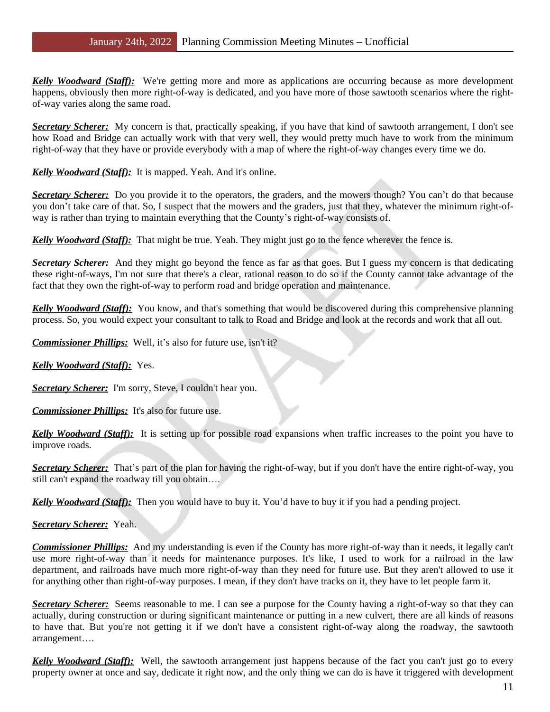*Kelly Woodward (Staff):* We're getting more and more as applications are occurring because as more development happens, obviously then more right-of-way is dedicated, and you have more of those sawtooth scenarios where the rightof-way varies along the same road.

*Secretary Scherer:* My concern is that, practically speaking, if you have that kind of sawtooth arrangement, I don't see how Road and Bridge can actually work with that very well, they would pretty much have to work from the minimum right-of-way that they have or provide everybody with a map of where the right-of-way changes every time we do.

*Kelly Woodward (Staff):* It is mapped. Yeah. And it's online.

*Secretary Scherer:* Do you provide it to the operators, the graders, and the mowers though? You can't do that because you don't take care of that. So, I suspect that the mowers and the graders, just that they, whatever the minimum right-ofway is rather than trying to maintain everything that the County's right-of-way consists of.

*Kelly Woodward (Staff):* That might be true. Yeah. They might just go to the fence wherever the fence is.

*Secretary Scherer:* And they might go beyond the fence as far as that goes. But I guess my concern is that dedicating these right-of-ways, I'm not sure that there's a clear, rational reason to do so if the County cannot take advantage of the fact that they own the right-of-way to perform road and bridge operation and maintenance.

*Kelly Woodward (Staff):* You know, and that's something that would be discovered during this comprehensive planning process. So, you would expect your consultant to talk to Road and Bridge and look at the records and work that all out.

*Commissioner Phillips:* Well, it's also for future use, isn't it?

*Kelly Woodward (Staff):* Yes.

*Secretary Scherer:* I'm sorry, Steve, I couldn't hear you.

*Commissioner Phillips:* It's also for future use.

*Kelly Woodward (Staff):* It is setting up for possible road expansions when traffic increases to the point you have to improve roads.

*Secretary Scherer:* That's part of the plan for having the right-of-way, but if you don't have the entire right-of-way, you still can't expand the roadway till you obtain….

*Kelly Woodward (Staff):* Then you would have to buy it. You'd have to buy it if you had a pending project.

*Secretary Scherer:* Yeah.

*Commissioner Phillips:* And my understanding is even if the County has more right-of-way than it needs, it legally can't use more right-of-way than it needs for maintenance purposes. It's like, I used to work for a railroad in the law department, and railroads have much more right-of-way than they need for future use. But they aren't allowed to use it for anything other than right-of-way purposes. I mean, if they don't have tracks on it, they have to let people farm it.

*Secretary Scherer:* Seems reasonable to me. I can see a purpose for the County having a right-of-way so that they can actually, during construction or during significant maintenance or putting in a new culvert, there are all kinds of reasons to have that. But you're not getting it if we don't have a consistent right-of-way along the roadway, the sawtooth arrangement….

*Kelly Woodward (Staff):* Well, the sawtooth arrangement just happens because of the fact you can't just go to every property owner at once and say, dedicate it right now, and the only thing we can do is have it triggered with development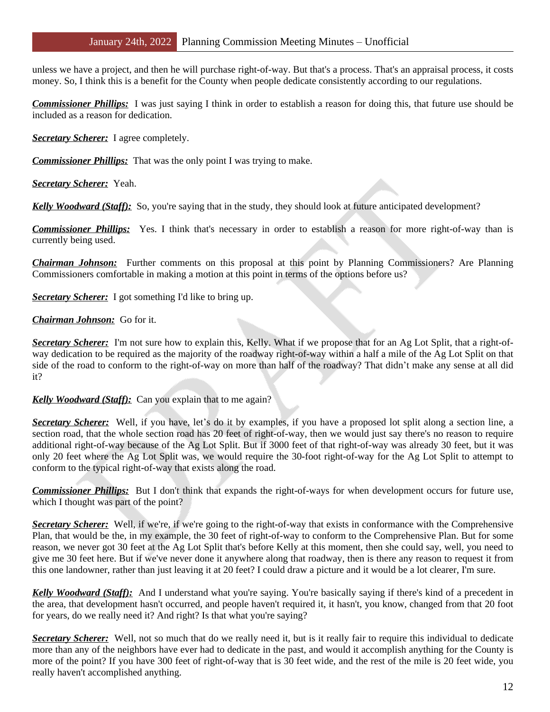unless we have a project, and then he will purchase right-of-way. But that's a process. That's an appraisal process, it costs money. So, I think this is a benefit for the County when people dedicate consistently according to our regulations.

*Commissioner Phillips:* I was just saying I think in order to establish a reason for doing this, that future use should be included as a reason for dedication.

*Secretary Scherer:* I agree completely.

*Commissioner Phillips:* That was the only point I was trying to make.

*Secretary Scherer:* Yeah.

*Kelly Woodward (Staff):* So, you're saying that in the study, they should look at future anticipated development?

*Commissioner Phillips:* Yes. I think that's necessary in order to establish a reason for more right-of-way than is currently being used.

*Chairman Johnson:* Further comments on this proposal at this point by Planning Commissioners? Are Planning Commissioners comfortable in making a motion at this point in terms of the options before us?

*Secretary Scherer:* I got something I'd like to bring up.

## *Chairman Johnson:* Go for it.

*Secretary Scherer:* I'm not sure how to explain this, Kelly. What if we propose that for an Ag Lot Split, that a right-ofway dedication to be required as the majority of the roadway right-of-way within a half a mile of the Ag Lot Split on that side of the road to conform to the right-of-way on more than half of the roadway? That didn't make any sense at all did it?

*Kelly Woodward (Staff):* Can you explain that to me again?

*Secretary Scherer:* Well, if you have, let's do it by examples, if you have a proposed lot split along a section line, a section road, that the whole section road has 20 feet of right-of-way, then we would just say there's no reason to require additional right-of-way because of the Ag Lot Split. But if 3000 feet of that right-of-way was already 30 feet, but it was only 20 feet where the Ag Lot Split was, we would require the 30-foot right-of-way for the Ag Lot Split to attempt to conform to the typical right-of-way that exists along the road.

*Commissioner Phillips:* But I don't think that expands the right-of-ways for when development occurs for future use, which I thought was part of the point?

*Secretary Scherer:* Well, if we're, if we're going to the right-of-way that exists in conformance with the Comprehensive Plan, that would be the, in my example, the 30 feet of right-of-way to conform to the Comprehensive Plan. But for some reason, we never got 30 feet at the Ag Lot Split that's before Kelly at this moment, then she could say, well, you need to give me 30 feet here. But if we've never done it anywhere along that roadway, then is there any reason to request it from this one landowner, rather than just leaving it at 20 feet? I could draw a picture and it would be a lot clearer, I'm sure.

*Kelly Woodward (Staff):* And I understand what you're saying. You're basically saying if there's kind of a precedent in the area, that development hasn't occurred, and people haven't required it, it hasn't, you know, changed from that 20 foot for years, do we really need it? And right? Is that what you're saying?

**Secretary Scherer:** Well, not so much that do we really need it, but is it really fair to require this individual to dedicate more than any of the neighbors have ever had to dedicate in the past, and would it accomplish anything for the County is more of the point? If you have 300 feet of right-of-way that is 30 feet wide, and the rest of the mile is 20 feet wide, you really haven't accomplished anything.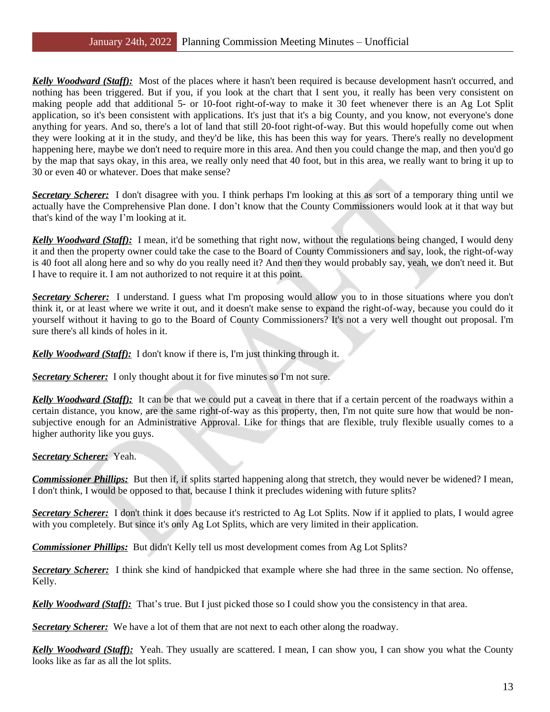*Kelly Woodward (Staff):* Most of the places where it hasn't been required is because development hasn't occurred, and nothing has been triggered. But if you, if you look at the chart that I sent you, it really has been very consistent on making people add that additional 5- or 10-foot right-of-way to make it 30 feet whenever there is an Ag Lot Split application, so it's been consistent with applications. It's just that it's a big County, and you know, not everyone's done anything for years. And so, there's a lot of land that still 20-foot right-of-way. But this would hopefully come out when they were looking at it in the study, and they'd be like, this has been this way for years. There's really no development happening here, maybe we don't need to require more in this area. And then you could change the map, and then you'd go by the map that says okay, in this area, we really only need that 40 foot, but in this area, we really want to bring it up to 30 or even 40 or whatever. Does that make sense?

*Secretary Scherer:* I don't disagree with you. I think perhaps I'm looking at this as sort of a temporary thing until we actually have the Comprehensive Plan done. I don't know that the County Commissioners would look at it that way but that's kind of the way I'm looking at it.

*Kelly Woodward (Staff):* I mean, it'd be something that right now, without the regulations being changed, I would deny it and then the property owner could take the case to the Board of County Commissioners and say, look, the right-of-way is 40 foot all along here and so why do you really need it? And then they would probably say, yeah, we don't need it. But I have to require it. I am not authorized to not require it at this point.

*Secretary Scherer:* I understand. I guess what I'm proposing would allow you to in those situations where you don't think it, or at least where we write it out, and it doesn't make sense to expand the right-of-way, because you could do it yourself without it having to go to the Board of County Commissioners? It's not a very well thought out proposal. I'm sure there's all kinds of holes in it.

### *Kelly Woodward (Staff):* I don't know if there is, I'm just thinking through it.

**Secretary Scherer:** I only thought about it for five minutes so I'm not sure.

*Kelly Woodward (Staff):* It can be that we could put a caveat in there that if a certain percent of the roadways within a certain distance, you know, are the same right-of-way as this property, then, I'm not quite sure how that would be nonsubjective enough for an Administrative Approval. Like for things that are flexible, truly flexible usually comes to a higher authority like you guys.

#### *Secretary Scherer:* Yeah.

*Commissioner Phillips:* But then if, if splits started happening along that stretch, they would never be widened? I mean, I don't think, I would be opposed to that, because I think it precludes widening with future splits?

*Secretary Scherer:* I don't think it does because it's restricted to Ag Lot Splits. Now if it applied to plats, I would agree with you completely. But since it's only Ag Lot Splits, which are very limited in their application.

*Commissioner Phillips:* But didn't Kelly tell us most development comes from Ag Lot Splits?

*Secretary Scherer:* I think she kind of handpicked that example where she had three in the same section. No offense, Kelly.

*Kelly Woodward (Staff):* That's true. But I just picked those so I could show you the consistency in that area.

*Secretary Scherer:* We have a lot of them that are not next to each other along the roadway.

*Kelly Woodward (Staff):* Yeah. They usually are scattered. I mean, I can show you, I can show you what the County looks like as far as all the lot splits.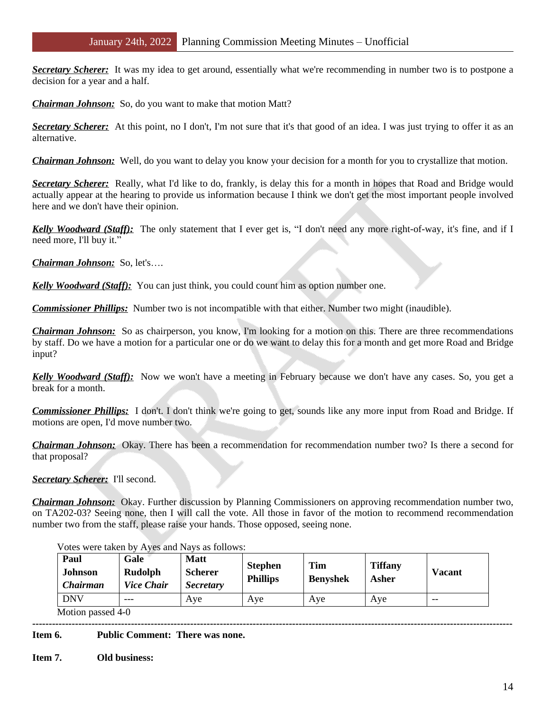*Secretary Scherer:* It was my idea to get around, essentially what we're recommending in number two is to postpone a decision for a year and a half.

*Chairman Johnson:* So, do you want to make that motion Matt?

*Secretary Scherer:* At this point, no I don't, I'm not sure that it's that good of an idea. I was just trying to offer it as an alternative.

*Chairman Johnson:* Well, do you want to delay you know your decision for a month for you to crystallize that motion.

*Secretary Scherer:* Really, what I'd like to do, frankly, is delay this for a month in hopes that Road and Bridge would actually appear at the hearing to provide us information because I think we don't get the most important people involved here and we don't have their opinion.

*Kelly Woodward (Staff):* The only statement that I ever get is, "I don't need any more right-of-way, it's fine, and if I need more, I'll buy it."

*Chairman Johnson:* So, let's….

*Kelly Woodward (Staff):* You can just think, you could count him as option number one.

*Commissioner Phillips:* Number two is not incompatible with that either. Number two might (inaudible).

*Chairman Johnson:* So as chairperson, you know, I'm looking for a motion on this. There are three recommendations by staff. Do we have a motion for a particular one or do we want to delay this for a month and get more Road and Bridge input?

*Kelly Woodward (Staff):* Now we won't have a meeting in February because we don't have any cases. So, you get a break for a month.

*Commissioner Phillips:* I don't. I don't think we're going to get, sounds like any more input from Road and Bridge. If motions are open, I'd move number two.

*Chairman Johnson:* Okay. There has been a recommendation for recommendation number two? Is there a second for that proposal?

*Secretary Scherer:* I'll second.

*Chairman Johnson:* Okay. Further discussion by Planning Commissioners on approving recommendation number two, on TA202-03? Seeing none, then I will call the vote. All those in favor of the motion to recommend recommendation number two from the staff, please raise your hands. Those opposed, seeing none.

| Paul<br><b>Johnson</b><br><b>Chairman</b> | Gale<br>Rudolph<br><b>Vice Chair</b> | <b>Matt</b><br><b>Scherer</b><br><b>Secretary</b> | <b>Stephen</b><br><b>Phillips</b> | <b>Tim</b><br><b>Benyshek</b> | <b>Tiffany</b><br>Asher | <b>Vacant</b> |
|-------------------------------------------|--------------------------------------|---------------------------------------------------|-----------------------------------|-------------------------------|-------------------------|---------------|
| <b>DNV</b>                                | $---$                                | Ave                                               | Ave                               | Aye                           | Ave                     | $- -$         |

Votes were taken by Ayes and Nays as follows:

Motion passed 4-0

**-------------------------------------------------------------------------------------------------------------------------------------------------- Item 6. Public Comment: There was none.**

**Item 7. Old business:**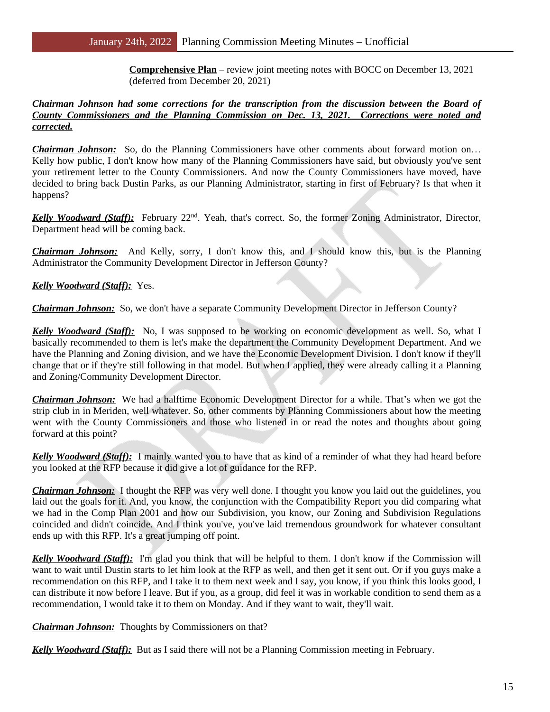**Comprehensive Plan** – review joint meeting notes with BOCC on December 13, 2021 (deferred from December 20, 2021)

#### *Chairman Johnson had some corrections for the transcription from the discussion between the Board of County Commissioners and the Planning Commission on Dec. 13, 2021. Corrections were noted and corrected.*

*Chairman Johnson:* So, do the Planning Commissioners have other comments about forward motion on... Kelly how public, I don't know how many of the Planning Commissioners have said, but obviously you've sent your retirement letter to the County Commissioners. And now the County Commissioners have moved, have decided to bring back Dustin Parks, as our Planning Administrator, starting in first of February? Is that when it happens?

*Kelly Woodward (Staff):* February 22nd . Yeah, that's correct. So, the former Zoning Administrator, Director, Department head will be coming back.

*Chairman Johnson:* And Kelly, sorry, I don't know this, and I should know this, but is the Planning Administrator the Community Development Director in Jefferson County?

*Kelly Woodward (Staff):* Yes.

*Chairman Johnson:* So, we don't have a separate Community Development Director in Jefferson County?

*Kelly Woodward (Staff):* No, I was supposed to be working on economic development as well. So, what I basically recommended to them is let's make the department the Community Development Department. And we have the Planning and Zoning division, and we have the Economic Development Division. I don't know if they'll change that or if they're still following in that model. But when I applied, they were already calling it a Planning and Zoning/Community Development Director.

*Chairman Johnson:* We had a halftime Economic Development Director for a while. That's when we got the strip club in in Meriden, well whatever. So, other comments by Planning Commissioners about how the meeting went with the County Commissioners and those who listened in or read the notes and thoughts about going forward at this point?

*Kelly Woodward (Staff):* I mainly wanted you to have that as kind of a reminder of what they had heard before you looked at the RFP because it did give a lot of guidance for the RFP.

*Chairman Johnson:* I thought the RFP was very well done. I thought you know you laid out the guidelines, you laid out the goals for it. And, you know, the conjunction with the Compatibility Report you did comparing what we had in the Comp Plan 2001 and how our Subdivision, you know, our Zoning and Subdivision Regulations coincided and didn't coincide. And I think you've, you've laid tremendous groundwork for whatever consultant ends up with this RFP. It's a great jumping off point.

*Kelly Woodward (Staff):* I'm glad you think that will be helpful to them. I don't know if the Commission will want to wait until Dustin starts to let him look at the RFP as well, and then get it sent out. Or if you guys make a recommendation on this RFP, and I take it to them next week and I say, you know, if you think this looks good, I can distribute it now before I leave. But if you, as a group, did feel it was in workable condition to send them as a recommendation, I would take it to them on Monday. And if they want to wait, they'll wait.

*Chairman Johnson:* Thoughts by Commissioners on that?

*Kelly Woodward (Staff):* But as I said there will not be a Planning Commission meeting in February.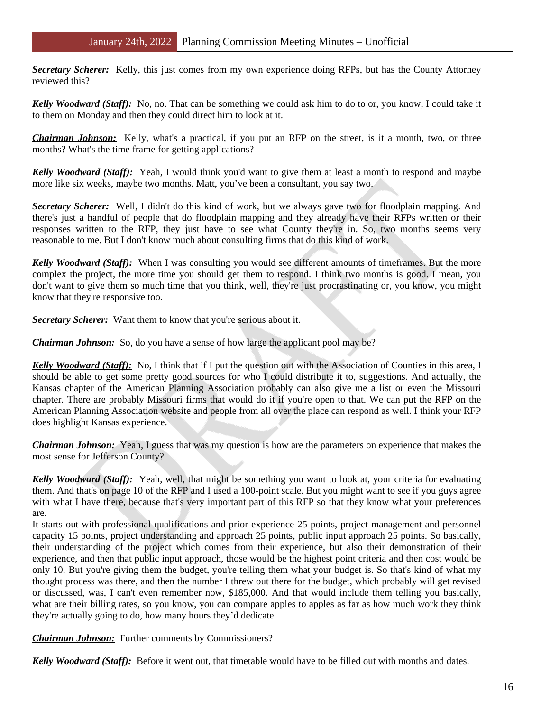**Secretary Scherer:** Kelly, this just comes from my own experience doing RFPs, but has the County Attorney reviewed this?

*Kelly Woodward (Staff):* No, no. That can be something we could ask him to do to or, you know, I could take it to them on Monday and then they could direct him to look at it.

*Chairman Johnson:* Kelly, what's a practical, if you put an RFP on the street, is it a month, two, or three months? What's the time frame for getting applications?

*Kelly Woodward (Staff):* Yeah, I would think you'd want to give them at least a month to respond and maybe more like six weeks, maybe two months. Matt, you've been a consultant, you say two.

*Secretary Scherer:* Well, I didn't do this kind of work, but we always gave two for floodplain mapping. And there's just a handful of people that do floodplain mapping and they already have their RFPs written or their responses written to the RFP, they just have to see what County they're in. So, two months seems very reasonable to me. But I don't know much about consulting firms that do this kind of work.

*Kelly Woodward (Staff):* When I was consulting you would see different amounts of timeframes. But the more complex the project, the more time you should get them to respond. I think two months is good. I mean, you don't want to give them so much time that you think, well, they're just procrastinating or, you know, you might know that they're responsive too.

**Secretary Scherer:** Want them to know that you're serious about it.

*Chairman Johnson:* So, do you have a sense of how large the applicant pool may be?

*Kelly Woodward (Staff):* No, I think that if I put the question out with the Association of Counties in this area, I should be able to get some pretty good sources for who I could distribute it to, suggestions. And actually, the Kansas chapter of the American Planning Association probably can also give me a list or even the Missouri chapter. There are probably Missouri firms that would do it if you're open to that. We can put the RFP on the American Planning Association website and people from all over the place can respond as well. I think your RFP does highlight Kansas experience.

*Chairman Johnson:* Yeah, I guess that was my question is how are the parameters on experience that makes the most sense for Jefferson County?

*Kelly Woodward (Staff):* Yeah, well, that might be something you want to look at, your criteria for evaluating them. And that's on page 10 of the RFP and I used a 100-point scale. But you might want to see if you guys agree with what I have there, because that's very important part of this RFP so that they know what your preferences are.

It starts out with professional qualifications and prior experience 25 points, project management and personnel capacity 15 points, project understanding and approach 25 points, public input approach 25 points. So basically, their understanding of the project which comes from their experience, but also their demonstration of their experience, and then that public input approach, those would be the highest point criteria and then cost would be only 10. But you're giving them the budget, you're telling them what your budget is. So that's kind of what my thought process was there, and then the number I threw out there for the budget, which probably will get revised or discussed, was, I can't even remember now, \$185,000. And that would include them telling you basically, what are their billing rates, so you know, you can compare apples to apples as far as how much work they think they're actually going to do, how many hours they'd dedicate.

*Chairman Johnson:* Further comments by Commissioners?

*Kelly Woodward (Staff):* Before it went out, that timetable would have to be filled out with months and dates.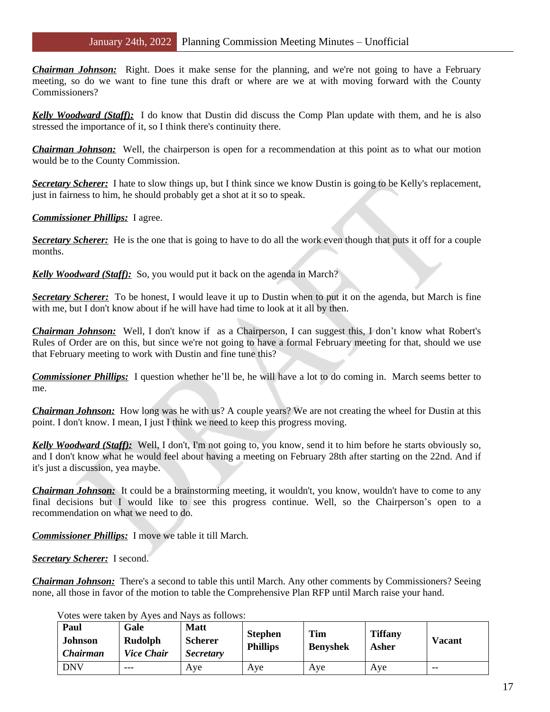*Chairman Johnson:* Right. Does it make sense for the planning, and we're not going to have a February meeting, so do we want to fine tune this draft or where are we at with moving forward with the County Commissioners?

*Kelly Woodward (Staff):* I do know that Dustin did discuss the Comp Plan update with them, and he is also stressed the importance of it, so I think there's continuity there.

*Chairman Johnson:* Well, the chairperson is open for a recommendation at this point as to what our motion would be to the County Commission.

*Secretary Scherer:* I hate to slow things up, but I think since we know Dustin is going to be Kelly's replacement, just in fairness to him, he should probably get a shot at it so to speak.

*Commissioner Phillips:* I agree.

*Secretary Scherer:* He is the one that is going to have to do all the work even though that puts it off for a couple months.

*Kelly Woodward (Staff):* So, you would put it back on the agenda in March?

*Secretary Scherer:* To be honest, I would leave it up to Dustin when to put it on the agenda, but March is fine with me, but I don't know about if he will have had time to look at it all by then.

*Chairman Johnson:* Well, I don't know if as a Chairperson, I can suggest this, I don't know what Robert's Rules of Order are on this, but since we're not going to have a formal February meeting for that, should we use that February meeting to work with Dustin and fine tune this?

*Commissioner Phillips:* I question whether he'll be, he will have a lot to do coming in. March seems better to me.

*Chairman Johnson:* How long was he with us? A couple years? We are not creating the wheel for Dustin at this point. I don't know. I mean, I just I think we need to keep this progress moving.

*Kelly Woodward (Staff):* Well, I don't, I'm not going to, you know, send it to him before he starts obviously so, and I don't know what he would feel about having a meeting on February 28th after starting on the 22nd. And if it's just a discussion, yea maybe.

*Chairman Johnson:* It could be a brainstorming meeting, it wouldn't, you know, wouldn't have to come to any final decisions but I would like to see this progress continue. Well, so the Chairperson's open to a recommendation on what we need to do.

*Commissioner Phillips:* I move we table it till March.

*Secretary Scherer:* I second.

*Chairman Johnson:* There's a second to table this until March. Any other comments by Commissioners? Seeing none, all those in favor of the motion to table the Comprehensive Plan RFP until March raise your hand.

Votes were taken by Ayes and Nays as follows:

| Paul<br><b>Johnson</b><br><b>Chairman</b> | Gale<br>Rudolph<br><b>Vice Chair</b> | <b>Matt</b><br><b>Scherer</b><br><b>Secretary</b> | <b>Stephen</b><br><b>Phillips</b> | Tim<br><b>Benyshek</b> | <b>Tiffany</b><br>Asher | <b>Vacant</b> |
|-------------------------------------------|--------------------------------------|---------------------------------------------------|-----------------------------------|------------------------|-------------------------|---------------|
| <b>DNV</b>                                | ---                                  | Ave                                               | Ave                               | Ave                    | Aye                     | $- -$         |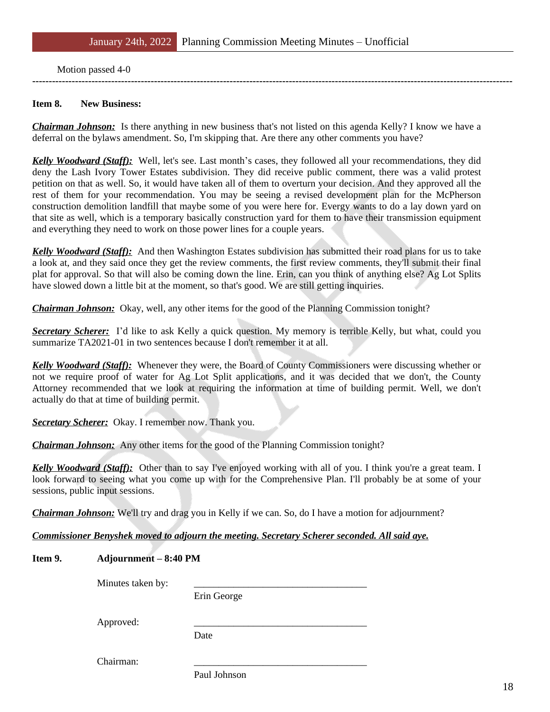#### Motion passed 4-0

#### **Item 8. New Business:**

*Chairman Johnson:* Is there anything in new business that's not listed on this agenda Kelly? I know we have a deferral on the bylaws amendment. So, I'm skipping that. Are there any other comments you have?

**--------------------------------------------------------------------------------------------------------------------------------------------------**

*Kelly Woodward (Staff):* Well, let's see. Last month's cases, they followed all your recommendations, they did deny the Lash Ivory Tower Estates subdivision. They did receive public comment, there was a valid protest petition on that as well. So, it would have taken all of them to overturn your decision. And they approved all the rest of them for your recommendation. You may be seeing a revised development plan for the McPherson construction demolition landfill that maybe some of you were here for. Evergy wants to do a lay down yard on that site as well, which is a temporary basically construction yard for them to have their transmission equipment and everything they need to work on those power lines for a couple years.

*Kelly Woodward (Staff):* And then Washington Estates subdivision has submitted their road plans for us to take a look at, and they said once they get the review comments, the first review comments, they'll submit their final plat for approval. So that will also be coming down the line. Erin, can you think of anything else? Ag Lot Splits have slowed down a little bit at the moment, so that's good. We are still getting inquiries.

*Chairman Johnson:* Okay, well, any other items for the good of the Planning Commission tonight?

*Secretary Scherer:* I'd like to ask Kelly a quick question. My memory is terrible Kelly, but what, could you summarize TA2021-01 in two sentences because I don't remember it at all.

*Kelly Woodward (Staff):* Whenever they were, the Board of County Commissioners were discussing whether or not we require proof of water for Ag Lot Split applications, and it was decided that we don't, the County Attorney recommended that we look at requiring the information at time of building permit. Well, we don't actually do that at time of building permit.

*Secretary Scherer:* Okay. I remember now. Thank you.

*Chairman Johnson:* Any other items for the good of the Planning Commission tonight?

*Kelly Woodward (Staff)*: Other than to say I've enjoyed working with all of you. I think you're a great team. I look forward to seeing what you come up with for the Comprehensive Plan. I'll probably be at some of your sessions, public input sessions.

*Chairman Johnson:* We'll try and drag you in Kelly if we can. So, do I have a motion for adjournment?

*Commissioner Benyshek moved to adjourn the meeting. Secretary Scherer seconded. All said aye.*

## **Item 9. Adjournment – 8:40 PM**

Minutes taken by:

Erin George

Approved:

Date

Chairman:

Paul Johnson